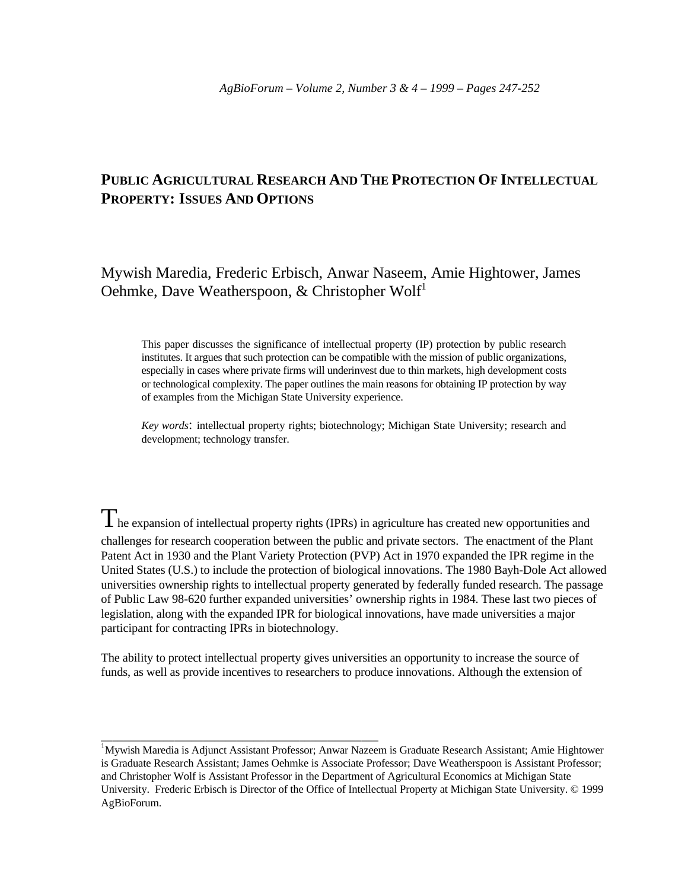# **PUBLIC AGRICULTURAL RESEARCH AND THE PROTECTION OF INTELLECTUAL PROPERTY: ISSUES AND OPTIONS**

Mywish Maredia, Frederic Erbisch, Anwar Naseem, Amie Hightower, James Oehmke, Dave Weatherspoon, & Christopher Wolf<sup>1</sup>

This paper discusses the significance of intellectual property (IP) protection by public research institutes. It argues that such protection can be compatible with the mission of public organizations, especially in cases where private firms will underinvest due to thin markets, high development costs or technological complexity. The paper outlines the main reasons for obtaining IP protection by way of examples from the Michigan State University experience.

*Key words*: intellectual property rights; biotechnology; Michigan State University; research and development; technology transfer.

 $T_{\text{he expansion of intellectual property rights (IPRs) in agriculture has created new opportunities and}$ challenges for research cooperation between the public and private sectors. The enactment of the Plant Patent Act in 1930 and the Plant Variety Protection (PVP) Act in 1970 expanded the IPR regime in the United States (U.S.) to include the protection of biological innovations. The 1980 Bayh-Dole Act allowed universities ownership rights to intellectual property generated by federally funded research. The passage of Public Law 98-620 further expanded universities' ownership rights in 1984. These last two pieces of legislation, along with the expanded IPR for biological innovations, have made universities a major participant for contracting IPRs in biotechnology.

The ability to protect intellectual property gives universities an opportunity to increase the source of funds, as well as provide incentives to researchers to produce innovations. Although the extension of

\_\_\_\_\_\_\_\_\_\_\_\_\_\_\_\_\_\_\_\_\_\_\_\_\_\_\_\_\_\_\_\_\_\_\_\_\_\_\_\_\_\_\_\_\_\_\_\_\_

<sup>&</sup>lt;sup>1</sup>Mywish Maredia is Adjunct Assistant Professor; Anwar Nazeem is Graduate Research Assistant; Amie Hightower is Graduate Research Assistant; James Oehmke is Associate Professor; Dave Weatherspoon is Assistant Professor; and Christopher Wolf is Assistant Professor in the Department of Agricultural Economics at Michigan State University. Frederic Erbisch is Director of the Office of Intellectual Property at Michigan State University. © 1999 AgBioForum.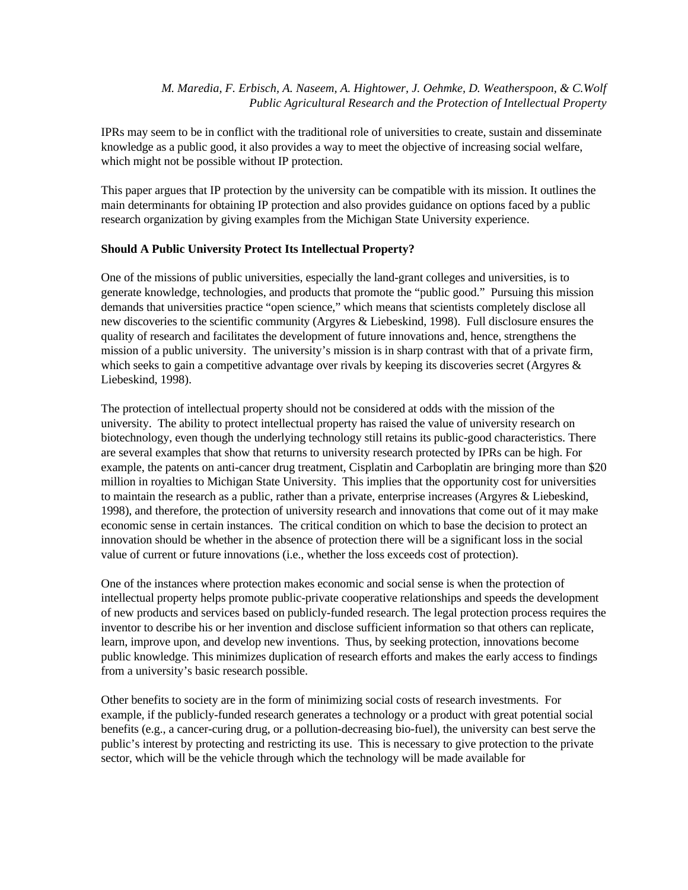IPRs may seem to be in conflict with the traditional role of universities to create, sustain and disseminate knowledge as a public good, it also provides a way to meet the objective of increasing social welfare, which might not be possible without IP protection.

This paper argues that IP protection by the university can be compatible with its mission. It outlines the main determinants for obtaining IP protection and also provides guidance on options faced by a public research organization by giving examples from the Michigan State University experience.

#### **Should A Public University Protect Its Intellectual Property?**

One of the missions of public universities, especially the land-grant colleges and universities, is to generate knowledge, technologies, and products that promote the "public good." Pursuing this mission demands that universities practice "open science," which means that scientists completely disclose all new discoveries to the scientific community (Argyres & Liebeskind, 1998). Full disclosure ensures the quality of research and facilitates the development of future innovations and, hence, strengthens the mission of a public university. The university's mission is in sharp contrast with that of a private firm, which seeks to gain a competitive advantage over rivals by keeping its discoveries secret (Argyres & Liebeskind, 1998).

The protection of intellectual property should not be considered at odds with the mission of the university. The ability to protect intellectual property has raised the value of university research on biotechnology, even though the underlying technology still retains its public-good characteristics. There are several examples that show that returns to university research protected by IPRs can be high. For example, the patents on anti-cancer drug treatment, Cisplatin and Carboplatin are bringing more than \$20 million in royalties to Michigan State University. This implies that the opportunity cost for universities to maintain the research as a public, rather than a private, enterprise increases (Argyres & Liebeskind, 1998), and therefore, the protection of university research and innovations that come out of it may make economic sense in certain instances. The critical condition on which to base the decision to protect an innovation should be whether in the absence of protection there will be a significant loss in the social value of current or future innovations (i.e., whether the loss exceeds cost of protection).

One of the instances where protection makes economic and social sense is when the protection of intellectual property helps promote public-private cooperative relationships and speeds the development of new products and services based on publicly-funded research. The legal protection process requires the inventor to describe his or her invention and disclose sufficient information so that others can replicate, learn, improve upon, and develop new inventions. Thus, by seeking protection, innovations become public knowledge. This minimizes duplication of research efforts and makes the early access to findings from a university's basic research possible.

Other benefits to society are in the form of minimizing social costs of research investments. For example, if the publicly-funded research generates a technology or a product with great potential social benefits (e.g., a cancer-curing drug, or a pollution-decreasing bio-fuel), the university can best serve the public's interest by protecting and restricting its use. This is necessary to give protection to the private sector, which will be the vehicle through which the technology will be made available for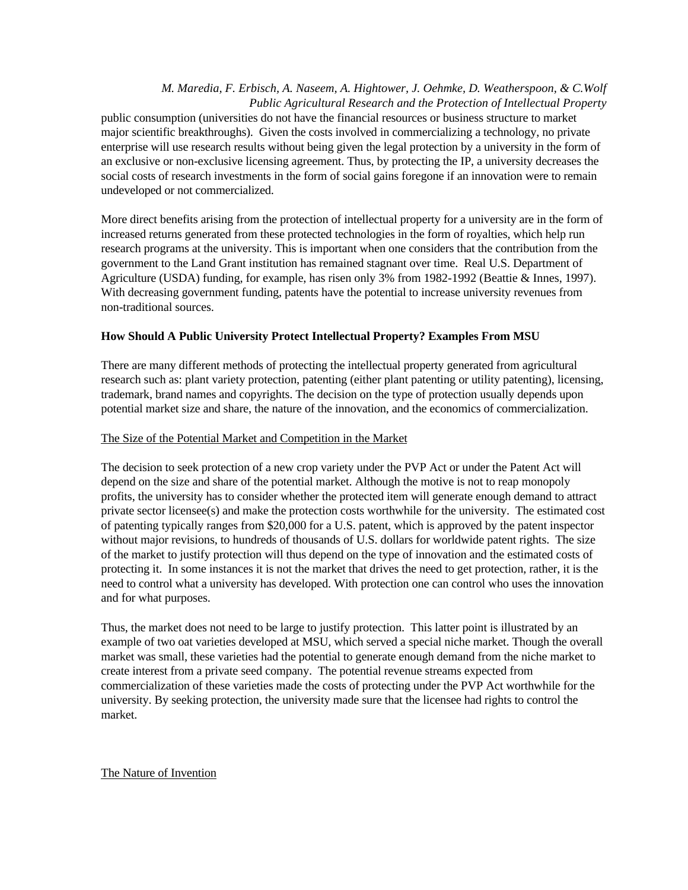public consumption (universities do not have the financial resources or business structure to market major scientific breakthroughs). Given the costs involved in commercializing a technology, no private enterprise will use research results without being given the legal protection by a university in the form of an exclusive or non-exclusive licensing agreement. Thus, by protecting the IP, a university decreases the social costs of research investments in the form of social gains foregone if an innovation were to remain undeveloped or not commercialized.

More direct benefits arising from the protection of intellectual property for a university are in the form of increased returns generated from these protected technologies in the form of royalties, which help run research programs at the university. This is important when one considers that the contribution from the government to the Land Grant institution has remained stagnant over time. Real U.S. Department of Agriculture (USDA) funding, for example, has risen only 3% from 1982-1992 (Beattie & Innes, 1997). With decreasing government funding, patents have the potential to increase university revenues from non-traditional sources.

## **How Should A Public University Protect Intellectual Property? Examples From MSU**

There are many different methods of protecting the intellectual property generated from agricultural research such as: plant variety protection, patenting (either plant patenting or utility patenting), licensing, trademark, brand names and copyrights. The decision on the type of protection usually depends upon potential market size and share, the nature of the innovation, and the economics of commercialization.

### The Size of the Potential Market and Competition in the Market

The decision to seek protection of a new crop variety under the PVP Act or under the Patent Act will depend on the size and share of the potential market. Although the motive is not to reap monopoly profits, the university has to consider whether the protected item will generate enough demand to attract private sector licensee(s) and make the protection costs worthwhile for the university. The estimated cost of patenting typically ranges from \$20,000 for a U.S. patent, which is approved by the patent inspector without major revisions, to hundreds of thousands of U.S. dollars for worldwide patent rights. The size of the market to justify protection will thus depend on the type of innovation and the estimated costs of protecting it. In some instances it is not the market that drives the need to get protection, rather, it is the need to control what a university has developed. With protection one can control who uses the innovation and for what purposes.

Thus, the market does not need to be large to justify protection. This latter point is illustrated by an example of two oat varieties developed at MSU, which served a special niche market. Though the overall market was small, these varieties had the potential to generate enough demand from the niche market to create interest from a private seed company. The potential revenue streams expected from commercialization of these varieties made the costs of protecting under the PVP Act worthwhile for the university. By seeking protection, the university made sure that the licensee had rights to control the market.

The Nature of Invention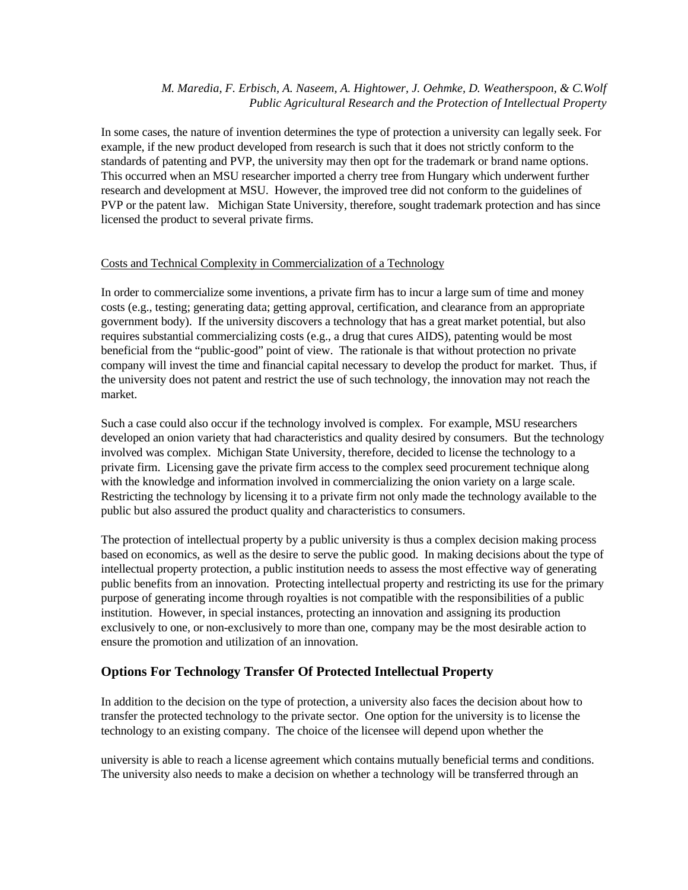In some cases, the nature of invention determines the type of protection a university can legally seek. For example, if the new product developed from research is such that it does not strictly conform to the standards of patenting and PVP, the university may then opt for the trademark or brand name options. This occurred when an MSU researcher imported a cherry tree from Hungary which underwent further research and development at MSU. However, the improved tree did not conform to the guidelines of PVP or the patent law. Michigan State University, therefore, sought trademark protection and has since licensed the product to several private firms.

#### Costs and Technical Complexity in Commercialization of a Technology

In order to commercialize some inventions, a private firm has to incur a large sum of time and money costs (e.g., testing; generating data; getting approval, certification, and clearance from an appropriate government body). If the university discovers a technology that has a great market potential, but also requires substantial commercializing costs (e.g., a drug that cures AIDS), patenting would be most beneficial from the "public-good" point of view. The rationale is that without protection no private company will invest the time and financial capital necessary to develop the product for market. Thus, if the university does not patent and restrict the use of such technology, the innovation may not reach the market.

Such a case could also occur if the technology involved is complex. For example, MSU researchers developed an onion variety that had characteristics and quality desired by consumers. But the technology involved was complex. Michigan State University, therefore, decided to license the technology to a private firm. Licensing gave the private firm access to the complex seed procurement technique along with the knowledge and information involved in commercializing the onion variety on a large scale. Restricting the technology by licensing it to a private firm not only made the technology available to the public but also assured the product quality and characteristics to consumers.

The protection of intellectual property by a public university is thus a complex decision making process based on economics, as well as the desire to serve the public good. In making decisions about the type of intellectual property protection, a public institution needs to assess the most effective way of generating public benefits from an innovation. Protecting intellectual property and restricting its use for the primary purpose of generating income through royalties is not compatible with the responsibilities of a public institution. However, in special instances, protecting an innovation and assigning its production exclusively to one, or non-exclusively to more than one, company may be the most desirable action to ensure the promotion and utilization of an innovation.

# **Options For Technology Transfer Of Protected Intellectual Property**

In addition to the decision on the type of protection, a university also faces the decision about how to transfer the protected technology to the private sector. One option for the university is to license the technology to an existing company. The choice of the licensee will depend upon whether the

university is able to reach a license agreement which contains mutually beneficial terms and conditions. The university also needs to make a decision on whether a technology will be transferred through an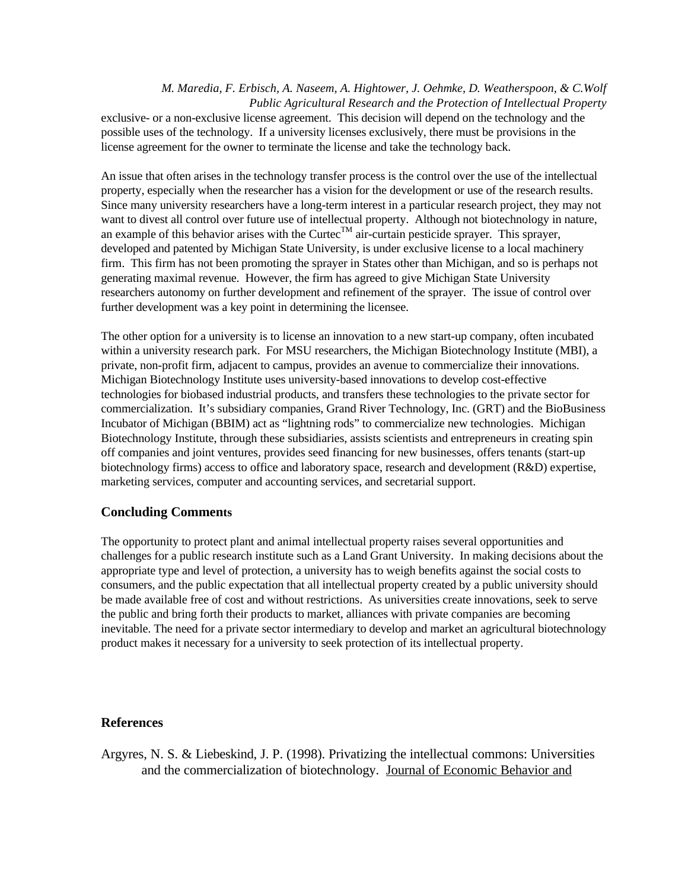exclusive- or a non-exclusive license agreement. This decision will depend on the technology and the possible uses of the technology. If a university licenses exclusively, there must be provisions in the license agreement for the owner to terminate the license and take the technology back.

An issue that often arises in the technology transfer process is the control over the use of the intellectual property, especially when the researcher has a vision for the development or use of the research results. Since many university researchers have a long-term interest in a particular research project, they may not want to divest all control over future use of intellectual property. Although not biotechnology in nature, an example of this behavior arises with the Curtec<sup>TM</sup> air-curtain pesticide sprayer. This sprayer, developed and patented by Michigan State University, is under exclusive license to a local machinery firm. This firm has not been promoting the sprayer in States other than Michigan, and so is perhaps not generating maximal revenue. However, the firm has agreed to give Michigan State University researchers autonomy on further development and refinement of the sprayer. The issue of control over further development was a key point in determining the licensee.

The other option for a university is to license an innovation to a new start-up company, often incubated within a university research park. For MSU researchers, the Michigan Biotechnology Institute (MBI), a private, non-profit firm, adjacent to campus, provides an avenue to commercialize their innovations. Michigan Biotechnology Institute uses university-based innovations to develop cost-effective technologies for biobased industrial products, and transfers these technologies to the private sector for commercialization. It's subsidiary companies, Grand River Technology, Inc. (GRT) and the BioBusiness Incubator of Michigan (BBIM) act as "lightning rods" to commercialize new technologies. Michigan Biotechnology Institute, through these subsidiaries, assists scientists and entrepreneurs in creating spin off companies and joint ventures, provides seed financing for new businesses, offers tenants (start-up biotechnology firms) access to office and laboratory space, research and development (R&D) expertise, marketing services, computer and accounting services, and secretarial support.

# **Concluding Comments**

The opportunity to protect plant and animal intellectual property raises several opportunities and challenges for a public research institute such as a Land Grant University. In making decisions about the appropriate type and level of protection, a university has to weigh benefits against the social costs to consumers, and the public expectation that all intellectual property created by a public university should be made available free of cost and without restrictions. As universities create innovations, seek to serve the public and bring forth their products to market, alliances with private companies are becoming inevitable. The need for a private sector intermediary to develop and market an agricultural biotechnology product makes it necessary for a university to seek protection of its intellectual property.

### **References**

Argyres, N. S. & Liebeskind, J. P. (1998). Privatizing the intellectual commons: Universities and the commercialization of biotechnology. Journal of Economic Behavior and